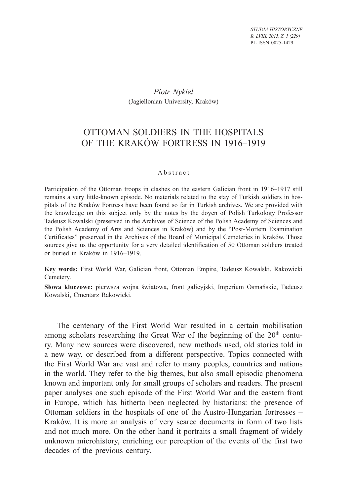*STUDIA HISTORYCZNE R. LVIII, 2015, Z. 1 (229)* PL ISSN 0025-1429

### *Piotr Nykiel* (Jagiellonian University, Kraków)

# OTTOMAN SOLDIERS IN THE HOSPITALS OF THE KRAKÓW FORTRESS IN 1916–1919

#### Abstract

Participation of the Ottoman troops in clashes on the eastern Galician front in 1916–1917 still remains a very little-known episode. No materials related to the stay of Turkish soldiers in hospitals of the Kraków Fortress have been found so far in Turkish archives. We are provided with the knowledge on this subject only by the notes by the doyen of Polish Turkology Professor Tadeusz Kowalski (preserved in the Archives of Science of the Polish Academy of Sciences and the Polish Academy of Arts and Sciences in Kraków) and by the "Post-Mortem Examination Certificates" preserved in the Archives of the Board of Municipal Cemeteries in Kraków. Those sources give us the opportunity for a very detailed identification of 50 Ottoman soldiers treated or buried in Kraków in 1916–1919.

**Key words:** First World War, Galician front, Ottoman Empire, Tadeusz Kowalski, Rakowicki Cemetery.

**Słowa kluczowe:** pierwsza wojna światowa, front galicyjski, Imperium Osmańskie, Tadeusz Kowalski, Cmentarz Rakowicki.

The centenary of the First World War resulted in a certain mobilisation among scholars researching the Great War of the beginning of the 20<sup>th</sup> century. Many new sources were discovered, new methods used, old stories told in a new way, or described from a different perspective. Topics connected with the First World War are vast and refer to many peoples, countries and nations in the world. They refer to the big themes, but also small episodic phenomena known and important only for small groups of scholars and readers. The present paper analyses one such episode of the First World War and the eastern front in Europe, which has hitherto been neglected by historians: the presence of Ottoman soldiers in the hospitals of one of the Austro-Hungarian fortresses – Kraków. It is more an analysis of very scarce documents in form of two lists and not much more. On the other hand it portraits a small fragment of widely unknown microhistory, enriching our perception of the events of the first two decades of the previous century.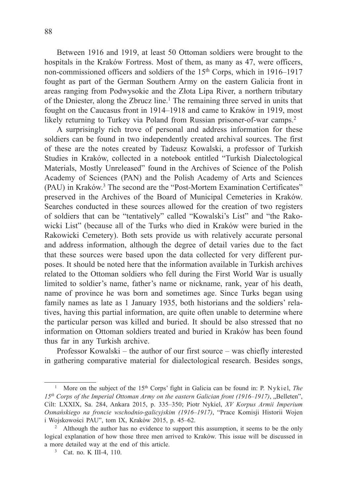Between 1916 and 1919, at least 50 Ottoman soldiers were brought to the hospitals in the Kraków Fortress. Most of them, as many as 47, were officers, non-commissioned officers and soldiers of the 15<sup>th</sup> Corps, which in 1916–1917 fought as part of the German Southern Army on the eastern Galicia front in areas ranging from Podwysokie and the Złota Lipa River, a northern tributary of the Dniester, along the Zbrucz line.<sup>1</sup> The remaining three served in units that fought on the Caucasus front in 1914–1918 and came to Kraków in 1919, most likely returning to Turkey via Poland from Russian prisoner-of-war camps.<sup>2</sup>

A surprisingly rich trove of personal and address information for these soldiers can be found in two independently created archival sources. The first of these are the notes created by Tadeusz Kowalski, a professor of Turkish Studies in Kraków, collected in a notebook entitled "Turkish Dialectological Materials, Mostly Unreleased" found in the Archives of Science of the Polish Academy of Sciences (PAN) and the Polish Academy of Arts and Sciences (PAU) in Kraków.<sup>3</sup> The second are the "Post-Mortem Examination Certificates" preserved in the Archives of the Board of Municipal Cemeteries in Kraków. Searches conducted in these sources allowed for the creation of two registers of soldiers that can be "tentatively" called "Kowalski's List" and "the Rakowicki List" (because all of the Turks who died in Kraków were buried in the Rakowicki Cemetery). Both sets provide us with relatively accurate personal and address information, although the degree of detail varies due to the fact that these sources were based upon the data collected for very different purposes. It should be noted here that the information available in Turkish archives related to the Ottoman soldiers who fell during the First World War is usually limited to soldier's name, father's name or nickname, rank, year of his death, name of province he was born and sometimes age. Since Turks began using family names as late as 1 January 1935, both historians and the soldiers' relatives, having this partial information, are quite often unable to determine where the particular person was killed and buried. It should be also stressed that no information on Ottoman soldiers treated and buried in Kraków has been found thus far in any Turkish archive.

Professor Kowalski – the author of our first source – was chiefly interested in gathering comparative material for dialectological research. Besides songs,

<sup>&</sup>lt;sup>1</sup> More on the subject of the 15<sup>th</sup> Corps' fight in Galicia can be found in: P. Nykiel, *The* 15<sup>th</sup> Corps of the Imperial Ottoman Army on the eastern Galician front (1916–1917), "Belleten", Cilt: LXXIX, Sa. 284, Ankara 2015, p. 335–350; Piotr Nykiel, *XV Korpus Armii Imperium Osmańskiego na froncie wschodnio-galicyjskim (1916*–*1917)*, "Prace Komisji Historii Wojen i Wojskowości PAU", tom IX, Kraków 2015, p. 45–62.

<sup>2</sup> Although the author has no evidence to support this assumption, it seems to be the only logical explanation of how those three men arrived to Kraków. This issue will be discussed in a more detailed way at the end of this article.

<sup>&</sup>lt;sup>3</sup> Cat. no. K III-4, 110.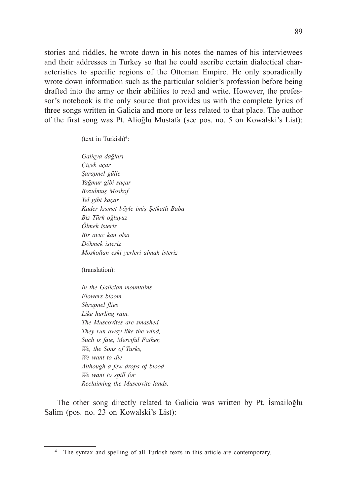stories and riddles, he wrote down in his notes the names of his interviewees and their addresses in Turkey so that he could ascribe certain dialectical characteristics to specific regions of the Ottoman Empire. He only sporadically wrote down information such as the particular soldier's profession before being drafted into the army or their abilities to read and write. However, the professor's notebook is the only source that provides us with the complete lyrics of three songs written in Galicia and more or less related to that place. The author of the first song was Pt. Alioğlu Mustafa (see pos. no. 5 on Kowalski's List):

 $(text in Turkish)<sup>4</sup>:$ 

*Galiçya dağları Çiçek açar Şarapnel gülle Yağmur gibi saçar Bozulmuş Moskof Yel gibi kaçar Kader kısmet böyle imiş Şefkatli Baba Biz Türk oğluyuz Ölmek isteriz Bir avuc kan olsa Dökmek isteriz Moskoftan eski yerleri almak isteriz*

(translation):

*In the Galician mountains Flowers bloom Shrapnel flies Like hurling rain. The Muscovites are smashed, They run away like the wind, Such is fate, Merciful Father, We, the Sons of Turks, We want to die Although a few drops of blood We want to spill for Reclaiming the Muscovite lands.*

The other song directly related to Galicia was written by Pt. İsmailoğlu Salim (pos. no. 23 on Kowalski's List):

<sup>&</sup>lt;sup>4</sup> The syntax and spelling of all Turkish texts in this article are contemporary.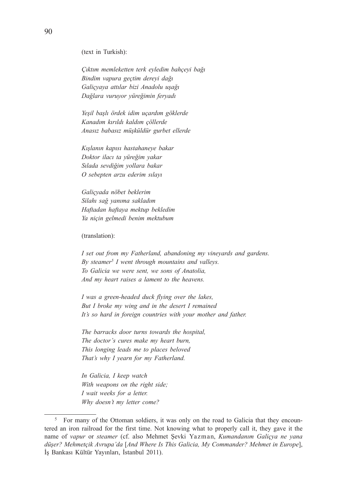(text in Turkish):

*Çıktım memleketten terk eyledim bahçeyi bağı Bindim vapura geçtim dereyi dağı Galiçyaya attılar bizi Anadolu uşağı Dağlara vuruyor yüreğimin feryadı*

*Yeşil başlı ördek idim uçardım göklerde Kanadım kırıldı kaldım çöllerde Anasız babasız müşküldür gurbet ellerde*

*Kışlanın kapısı hastahaneye bakar Doktor ilacı ta yüreğim yakar Sılada sevdiğim yollara bakar O sebepten arzu ederim sılayı*

*Galiçyada nöbet beklerim Silahı sağ yanıma sakladım Haftadan haftaya mektup bekledim Ya niçin gelmedi benim mektubum*

(translation):

*I set out from my Fatherland, abandoning my vineyards and gardens. By steamer5 I went through mountains and valleys. To Galicia we were sent, we sons of Anatolia, And my heart raises a lament to the heavens.* 

*I was a green-headed duck flying over the lakes, But I broke my wing and in the desert I remained It's so hard in foreign countries with your mother and father.*

*The barracks door turns towards the hospital, The doctor's cures make my heart burn, This longing leads me to places beloved That's why I yearn for my Fatherland.* 

*In Galicia, I keep watch With weapons on the right side; I wait weeks for a letter. Why doesn't my letter come?* 

<sup>5</sup> For many of the Ottoman soldiers, it was only on the road to Galicia that they encountered an iron railroad for the first time. Not knowing what to properly call it, they gave it the name of *vapur* or *steamer* (cf. also Mehmet Şevki Yazman, *Kumandanım Galiçya ne yana düşer? Mehmetçik Avrupa'da* [*And Where Is This Galicia, My Commander? Mehmet in Europe*], İş Bankası Kültür Yayınları, İstanbul 2011).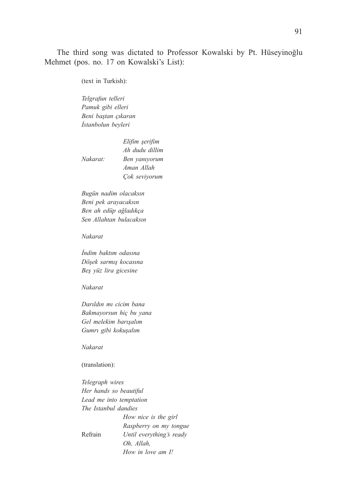The third song was dictated to Professor Kowalski by Pt. Hüseyinoğlu Mehmet (pos. no. 17 on Kowalski's List):

(text in Turkish):

*Telgrafun telleri Pamuk gibi elleri Beni baştan çıkaran İstanbolun beyleri* 

 *Elifim şerifim Ah dudu dillim Nakarat: Ben yanıyorum Aman Allah Çok seviyorum* 

*Bugün nadim olacaksın Beni pek arayacaksın Ben ah edüp ağladıkça Sen Allahtan bulacaksın* 

#### *Nakarat*

*İndim baktım odasına Döşek sarmış kocasına Beş yüz lira gicesine* 

#### *Nakarat*

*Darıldın mı cicim bana Bakmayorsun hiç bu yana Gel melekim barışalım Gumrı gibi kokuşalım* 

*Nakarat*

(translation):

*Telegraph wires Her hands so beautiful Lead me into temptation The Istanbul dandies*

 *How nice is the girl Raspberry on my tongue* Refrain *Until everything's ready Oh, Allah, How in love am I!*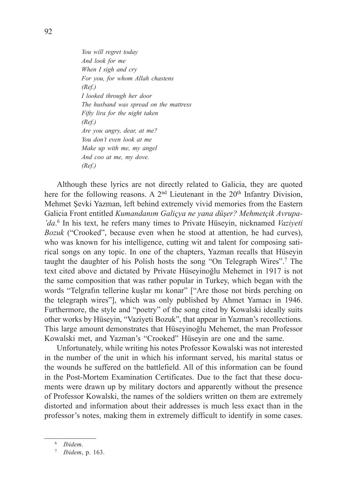*You will regret today And look for me When I sigh and cry For you, for whom Allah chastens (Ref.) I looked through her door The husband was spread on the mattress Fifty lira for the night taken (Ref.) Are you angry, dear, at me? You don't even look at me Make up with me, my angel And coo at me, my dove. (Ref.)*

Although these lyrics are not directly related to Galicia, they are quoted here for the following reasons. A  $2<sup>nd</sup>$  Lieutenant in the  $20<sup>th</sup>$  Infantry Division, Mehmet Şevki Yazman, left behind extremely vivid memories from the Eastern Galicia Front entitled *Kumandanım Galiçya ne yana düşer? Mehmetçik Avrupa- 'da*. 6 In his text, he refers many times to Private Hüseyin, nicknamed *Vaziyeti Bozuk* ("Crooked", because even when he stood at attention, he had curves), who was known for his intelligence, cutting wit and talent for composing satirical songs on any topic. In one of the chapters, Yazman recalls that Hüseyin taught the daughter of his Polish hosts the song "On Telegraph Wires".7 The text cited above and dictated by Private Hüseyinoğlu Mehemet in 1917 is not the same composition that was rather popular in Turkey, which began with the words "Telgrafın tellerine kuşlar mı konar" ["Are those not birds perching on the telegraph wires"], which was only published by Ahmet Yamacı in 1946. Furthermore, the style and "poetry" of the song cited by Kowalski ideally suits other works by Hüseyin, "Vaziyeti Bozuk", that appear in Yazman's recollections. This large amount demonstrates that Hüseyinoğlu Mehemet, the man Professor Kowalski met, and Yazman's "Crooked" Hüseyin are one and the same.

Unfortunately, while writing his notes Professor Kowalski was not interested in the number of the unit in which his informant served, his marital status or the wounds he suffered on the battlefield. All of this information can be found in the Post-Mortem Examination Certificates. Due to the fact that these documents were drawn up by military doctors and apparently without the presence of Professor Kowalski, the names of the soldiers written on them are extremely distorted and information about their addresses is much less exact than in the professor's notes, making them in extremely difficult to identify in some cases.

<sup>6</sup> *Ibidem*.

<sup>7</sup> *Ibidem*, p. 163.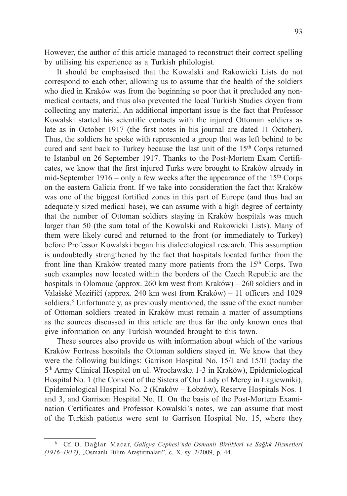However, the author of this article managed to reconstruct their correct spelling by utilising his experience as a Turkish philologist.

It should be emphasised that the Kowalski and Rakowicki Lists do not correspond to each other, allowing us to assume that the health of the soldiers who died in Kraków was from the beginning so poor that it precluded any nonmedical contacts, and thus also prevented the local Turkish Studies doyen from collecting any material. An additional important issue is the fact that Professor Kowalski started his scientific contacts with the injured Ottoman soldiers as late as in October 1917 (the first notes in his journal are dated 11 October). Thus, the soldiers he spoke with represented a group that was left behind to be cured and sent back to Turkey because the last unit of the 15<sup>th</sup> Corps returned to Istanbul on 26 September 1917. Thanks to the Post-Mortem Exam Certificates, we know that the first injured Turks were brought to Kraków already in mid-September 1916 – only a few weeks after the appearance of the  $15<sup>th</sup>$  Corps on the eastern Galicia front. If we take into consideration the fact that Kraków was one of the biggest fortified zones in this part of Europe (and thus had an adequately sized medical base), we can assume with a high degree of certainty that the number of Ottoman soldiers staying in Kraków hospitals was much larger than 50 (the sum total of the Kowalski and Rakowicki Lists). Many of them were likely cured and returned to the front (or immediately to Turkey) before Professor Kowalski began his dialectological research. This assumption is undoubtedly strengthened by the fact that hospitals located further from the front line than Kraków treated many more patients from the 15th Corps. Two such examples now located within the borders of the Czech Republic are the hospitals in Olomouc (approx. 260 km west from Kraków) – 260 soldiers and in Valašské Meziříčí (approx. 240 km west from Kraków) – 11 officers and 1029 soldiers.<sup>8</sup> Unfortunately, as previously mentioned, the issue of the exact number of Ottoman soldiers treated in Kraków must remain a matter of assumptions as the sources discussed in this article are thus far the only known ones that give information on any Turkish wounded brought to this town.

These sources also provide us with information about which of the various Kraków Fortress hospitals the Ottoman soldiers stayed in. We know that they were the following buildings: Garrison Hospital No. 15/I and 15/II (today the 5th Army Clinical Hospital on ul. Wrocławska 1-3 in Kraków), Epidemiological Hospital No. 1 (the Convent of the Sisters of Our Lady of Mercy in Łagiewniki), Epidemiological Hospital No. 2 (Kraków – Łobzów), Reserve Hospitals Nos. 1 and 3, and Garrison Hospital No. II. On the basis of the Post-Mortem Examination Certificates and Professor Kowalski's notes, we can assume that most of the Turkish patients were sent to Garrison Hospital No. 15, where they

<sup>8</sup> Cf. O. Dağlar Macar, *Galiçya Cephesi'nde Osmanlı Birlikleri ve Sağlık Hizmetleri (1916*–*1917)*, "Osmanlı Bilim Araştırmaları", c. X, sy. 2/2009, p. 44.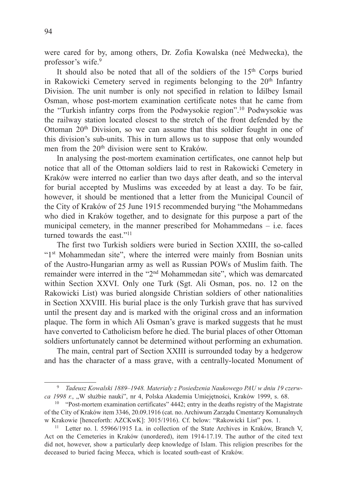were cared for by, among others, Dr. Zofia Kowalska (neé Medwecka), the professor's wife.<sup>9</sup>

It should also be noted that all of the soldiers of the 15<sup>th</sup> Corps buried in Rakowicki Cemetery served in regiments belonging to the  $20<sup>th</sup>$  Infantry Division. The unit number is only not specified in relation to İdilbey İsmail Osman, whose post-mortem examination certificate notes that he came from the "Turkish infantry corps from the Podwysokie region".10 Podwysokie was the railway station located closest to the stretch of the front defended by the Ottoman 20th Division, so we can assume that this soldier fought in one of this division's sub-units. This in turn allows us to suppose that only wounded men from the 20<sup>th</sup> division were sent to Kraków.

In analysing the post-mortem examination certificates, one cannot help but notice that all of the Ottoman soldiers laid to rest in Rakowicki Cemetery in Kraków were interred no earlier than two days after death, and so the interval for burial accepted by Muslims was exceeded by at least a day. To be fair, however, it should be mentioned that a letter from the Municipal Council of the City of Kraków of 25 June 1915 recommended burying "the Mohammedans who died in Kraków together, and to designate for this purpose a part of the municipal cemetery, in the manner prescribed for Mohammedans – i.e. faces turned towards the east."<sup>11</sup>

The first two Turkish soldiers were buried in Section XXIII, the so-called "1st Mohammedan site", where the interred were mainly from Bosnian units of the Austro-Hungarian army as well as Russian POWs of Muslim faith. The remainder were interred in the "2nd Mohammedan site", which was demarcated within Section XXVI. Only one Turk (Sgt. Ali Osman, pos. no. 12 on the Rakowicki List) was buried alongside Christian soldiers of other nationalities in Section XXVIII. His burial place is the only Turkish grave that has survived until the present day and is marked with the original cross and an information plaque. The form in which Ali Osman's grave is marked suggests that he must have converted to Catholicism before he died. The burial places of other Ottoman soldiers unfortunately cannot be determined without performing an exhumation.

The main, central part of Section XXIII is surrounded today by a hedgerow and has the character of a mass grave, with a centrally-located Monument of

<sup>9</sup> *Tadeusz Kowalski 1889*–*1948. Materiały z Posiedzenia Naukowego PAU w dniu 19 czerwca 1998 r.*, "W służbie nauki", nr 4, Polska Akademia Umiejętności, Kraków 1999, s. 68.

<sup>&</sup>lt;sup>10</sup> "Post-mortem examination certificates" 4442; entry in the deaths registry of the Magistrate of the City of Kraków item 3346, 20.09.1916 (cat. no. Archiwum Zarządu Cmentarzy Komunalnych w Krakowie [henceforth: AZCKwK]: 3015/1916). Cf. below: "Rakowicki List" pos. 1.

<sup>11</sup> Letter no. l. 55966/1915 I.a. in collection of the State Archives in Kraków, Branch V, Act on the Cemeteries in Kraków (unordered), item 1914-17.19. The author of the cited text did not, however, show a particularly deep knowledge of Islam. This religion prescribes for the deceased to buried facing Mecca, which is located south-east of Kraków.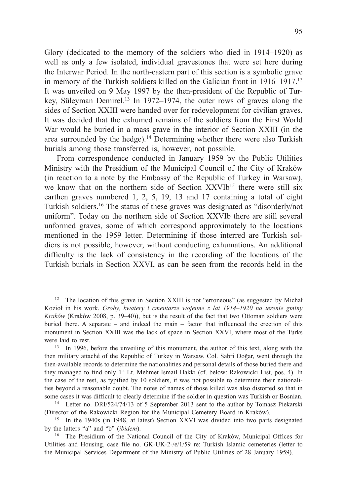Glory (dedicated to the memory of the soldiers who died in 1914–1920) as well as only a few isolated, individual gravestones that were set here during the Interwar Period. In the north-eastern part of this section is a symbolic grave in memory of the Turkish soldiers killed on the Galician front in 1916–1917.12 It was unveiled on 9 May 1997 by the then-president of the Republic of Turkey. Süleyman Demirel.<sup>13</sup> In 1972–1974, the outer rows of graves along the sides of Section XXIII were handed over for redevelopment for civilian graves. It was decided that the exhumed remains of the soldiers from the First World War would be buried in a mass grave in the interior of Section XXIII (in the area surrounded by the hedge).14 Determining whether there were also Turkish burials among those transferred is, however, not possible.

From correspondence conducted in January 1959 by the Public Utilities Ministry with the Presidium of the Municipal Council of the City of Kraków (in reaction to a note by the Embassy of the Republic of Turkey in Warsaw), we know that on the northern side of Section  $XXV1b^{15}$  there were still six earthen graves numbered 1, 2, 5, 19, 13 and 17 containing a total of eight Turkish soldiers.16 The status of these graves was designated as "disorderly/not uniform". Today on the northern side of Section XXVIb there are still several unformed graves, some of which correspond approximately to the locations mentioned in the 1959 letter. Determining if those interred are Turkish soldiers is not possible, however, without conducting exhumations. An additional difficulty is the lack of consistency in the recording of the locations of the Turkish burials in Section XXVI, as can be seen from the records held in the

<sup>&</sup>lt;sup>12</sup> The location of this grave in Section XXIII is not "erroneous" (as suggested by Michał Kozioł in his work, *Groby, kwatery i cmentarze wojenne z lat 1914*–*1920 na terenie gminy Kraków* (Kraków 2008, p. 39–40)), but is the result of the fact that two Ottoman soldiers were buried there. A separate – and indeed the main – factor that influenced the erection of this monument in Section XXIII was the lack of space in Section XXVI, where most of the Turks were laid to rest.

<sup>&</sup>lt;sup>13</sup> In 1996, before the unveiling of this monument, the author of this text, along with the then military attaché of the Republic of Turkey in Warsaw, Col. Sabri Doğar, went through the then-available records to determine the nationalities and personal details of those buried there and they managed to find only 1st Lt. Mehmet İsmail Hakkı (cf. below: Rakowicki List, pos. 4). In the case of the rest, as typified by 10 soldiers, it was not possible to determine their nationalities beyond a reasonable doubt. The notes of names of those killed was also distorted so that in some cases it was difficult to clearly determine if the soldier in question was Turkish or Bosnian.<br><sup>14</sup> Letter no. DRI/524/74/13 of 5 September 2013 sent to the author by Tomasz Piekarski

<sup>(</sup>Director of the Rakowicki Region for the Municipal Cemetery Board in Kraków).

<sup>&</sup>lt;sup>15</sup> In the 1940s (in 1948, at latest) Section XXVI was divided into two parts designated by the latters "a" and "b" (*ibidem*).

<sup>&</sup>lt;sup>16</sup> The Presidium of the National Council of the City of Kraków, Municipal Offices for Utilities and Housing, case file no. GK-UK-2-/e/1/59 re: Turkish Islamic cemeteries (letter to the Municipal Services Department of the Ministry of Public Utilities of 28 January 1959).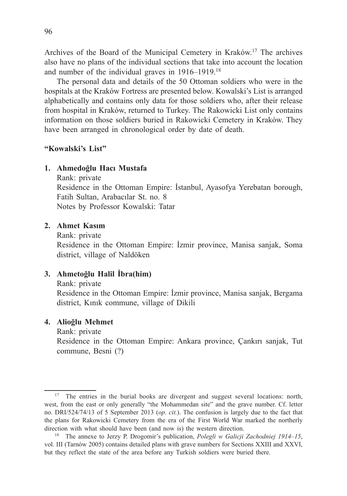Archives of the Board of the Municipal Cemetery in Kraków.17 The archives also have no plans of the individual sections that take into account the location and number of the individual graves in 1916–1919.18

The personal data and details of the 50 Ottoman soldiers who were in the hospitals at the Kraków Fortress are presented below. Kowalski's List is arranged alphabetically and contains only data for those soldiers who, after their release from hospital in Kraków, returned to Turkey. The Rakowicki List only contains information on those soldiers buried in Rakowicki Cemetery in Kraków. They have been arranged in chronological order by date of death.

### **"Kowalski's List"**

### **1. Ahmedoğlu Hacı Mustafa**

Rank: private

 Residence in the Ottoman Empire: İstanbul, Ayasofya Yerebatan borough, Fatih Sultan, Arabacılar St. no. 8 Notes by Professor Kowalski: Tatar

### **2. Ahmet Kasım**

Rank: private

 Residence in the Ottoman Empire: İzmir province, Manisa sanjak, Soma district, village of Naldöken

### **3. Ahmetoğlu Halil İbra(him)**

#### Rank: private

 Residence in the Ottoman Empire: İzmir province, Manisa sanjak, Bergama district, Kınık commune, village of Dikili

#### **4. Alioğlu Mehmet**

 Rank: private Residence in the Ottoman Empire: Ankara province, Çankırı sanjak, Tut commune, Besni (?)

<sup>&</sup>lt;sup>17</sup> The entries in the burial books are divergent and suggest several locations: north, west, from the east or only generally "the Mohammedan site" and the grave number. Cf. letter no. DRI/524/74/13 of 5 September 2013 (*op. cit.*). The confusion is largely due to the fact that the plans for Rakowicki Cemetery from the era of the First World War marked the northerly direction with what should have been (and now is) the western direction.

<sup>18</sup> The annexe to Jerzy P. Drogomir's publication, *Polegli w Galicji Zachodniej 1914*–*15*, vol. III (Tarnów 2005) contains detailed plans with grave numbers for Sections XXIII and XXVI, but they reflect the state of the area before any Turkish soldiers were buried there.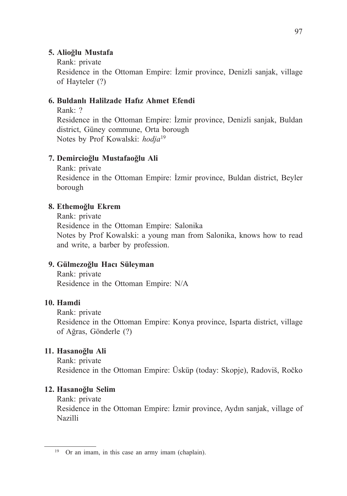### **5. Alioğlu Mustafa**

Rank: private

 Residence in the Ottoman Empire: İzmir province, Denizli sanjak, village of Hayteler (?)

### **6. Buldanlı Halilzade Hafız Ahmet Efendi**

Rank: ?

 Residence in the Ottoman Empire: İzmir province, Denizli sanjak, Buldan district, Güney commune, Orta borough Notes by Prof Kowalski: *hodja*<sup>19</sup>

## **7. Demircioğlu Mustafaoğlu Ali**

 Rank: private Residence in the Ottoman Empire: İzmir province, Buldan district, Beyler borough

### **8. Ethemoğlu Ekrem**

 Rank: private Residence in the Ottoman Empire: Salonika Notes by Prof Kowalski: a young man from Salonika, knows how to read and write, a barber by profession.

### **9. Gülmezoğlu Hacı Süleyman**

 Rank: private Residence in the Ottoman Empire: N/A

### **10. Hamdi**

 Rank: private Residence in the Ottoman Empire: Konya province, Isparta district, village of Ağras, Gönderle (?)

# **11. Hasanoğlu Ali**

 Rank: private Residence in the Ottoman Empire: Üsküp (today: Skopje), Radoviš, Ročko

### **12. Hasanoğlu Selim**

Rank: private

 Residence in the Ottoman Empire: İzmir province, Aydın sanjak, village of Nazilli

<sup>19</sup> Or an imam, in this case an army imam (chaplain).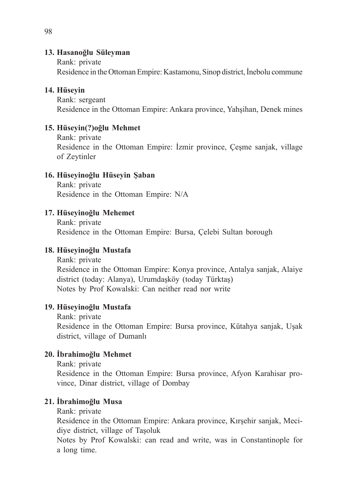### **13. Hasanoğlu Süleyman**

Rank: private

Residence in the Ottoman Empire: Kastamonu, Sinop district, İnebolu commune

### **14. Hüseyin**

 Rank: sergeant Residence in the Ottoman Empire: Ankara province, Yahşihan, Denek mines

## **15. Hüseyin(?)oğlu Mehmet**

 Rank: private Residence in the Ottoman Empire: İzmir province, Çeşme sanjak, village of Zeytinler

## **16. Hüseyinoğlu Hüseyin Şaban**

 Rank: private Residence in the Ottoman Empire: N/A

## **17. Hüseyinoğlu Mehemet**

 Rank: private Residence in the Ottoman Empire: Bursa, Çelebi Sultan borough

## **18. Hüseyinoğlu Mustafa**

 Rank: private Residence in the Ottoman Empire: Konya province, Antalya sanjak, Alaiye district (today: Alanya), Urumdaşköy (today Türktaş) Notes by Prof Kowalski: Can neither read nor write

# **19. Hüseyinoğlu Mustafa**

 Rank: private Residence in the Ottoman Empire: Bursa province, Kütahya sanjak, Uşak district, village of Dumanlı

# **20. İbrahimoğlu Mehmet**

Rank: private

 Residence in the Ottoman Empire: Bursa province, Afyon Karahisar province, Dinar district, village of Dombay

# **21. İbrahimoğlu Musa**

Rank: private

 Residence in the Ottoman Empire: Ankara province, Kırşehir sanjak, Mecidiye district, village of Taşoluk

 Notes by Prof Kowalski: can read and write, was in Constantinople for a long time.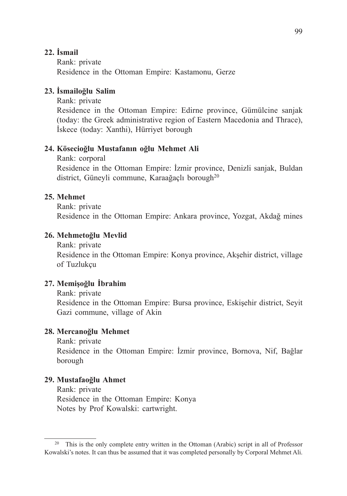### **22. İsmail**

 Rank: private Residence in the Ottoman Empire: Kastamonu, Gerze

### **23. İsmailoğlu Salim**

Rank: private

 Residence in the Ottoman Empire: Edirne province, Gümülcine sanjak (today: the Greek administrative region of Eastern Macedonia and Thrace), İskece (today: Xanthi), Hürriyet borough

#### **24. Kösecioğlu Mustafanın oğlu Mehmet Ali**

Rank: corporal

 Residence in the Ottoman Empire: İzmir province, Denizli sanjak, Buldan district, Güneyli commune, Karaağaçlı borough<sup>20</sup>

### **25. Mehmet**

Rank: private

Residence in the Ottoman Empire: Ankara province, Yozgat, Akdağ mines

#### **26. Mehmetoğlu Mevlid**

Rank: private

 Residence in the Ottoman Empire: Konya province, Akşehir district, village of Tuzlukçu

#### **27. Memişoğlu İbrahim**

Rank: private

 Residence in the Ottoman Empire: Bursa province, Eskişehir district, Seyit Gazi commune, village of Akin

#### **28. Mercanoğlu Mehmet**

Rank: private

 Residence in the Ottoman Empire: İzmir province, Bornova, Nif, Bağlar borough

#### **29. Mustafaoğlu Ahmet**

 Rank: private Residence in the Ottoman Empire: Konya Notes by Prof Kowalski: cartwright.

<sup>&</sup>lt;sup>20</sup> This is the only complete entry written in the Ottoman (Arabic) script in all of Professor Kowalski's notes. It can thus be assumed that it was completed personally by Corporal Mehmet Ali.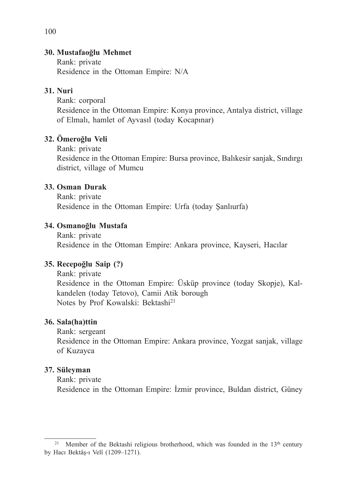### **30. Mustafaoğlu Mehmet**

 Rank: private Residence in the Ottoman Empire: N/A

### **31. Nuri**

Rank: corporal

 Residence in the Ottoman Empire: Konya province, Antalya district, village of Elmalı, hamlet of Ayvasıl (today Kocapınar)

## **32. Ömeroğlu Veli**

Rank: private

 Residence in the Ottoman Empire: Bursa province, Balıkesir sanjak, Sındırgı district, village of Mumcu

## **33. Osman Durak**

 Rank: private Residence in the Ottoman Empire: Urfa (today Şanlıurfa)

## **34. Osmanoğlu Mustafa**

 Rank: private Residence in the Ottoman Empire: Ankara province, Kayseri, Hacılar

### **35. Recepoğlu Saip (?)**

 Rank: private Residence in the Ottoman Empire: Üsküp province (today Skopje), Kalkandelen (today Tetovo), Camii Atik borough Notes by Prof Kowalski: Bektashi<sup>21</sup>

### **36. Sala(ha)ttin**

Rank: sergeant

 Residence in the Ottoman Empire: Ankara province, Yozgat sanjak, village of Kuzayca

### **37. Süleyman**

Rank: private

Residence in the Ottoman Empire: İzmir province, Buldan district, Güney

100

<sup>&</sup>lt;sup>21</sup> Member of the Bektashi religious brotherhood, which was founded in the  $13<sup>th</sup>$  century by Hacı Bektâş-ı Velî (1209–1271).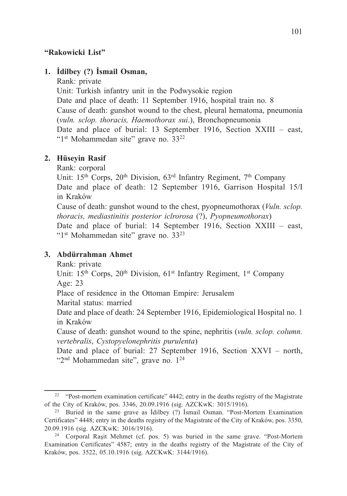### **"Rakowicki List"**

### **1. İdilbey (?) İsmail Osman,**

Rank: private

 Unit: Turkish infantry unit in the Podwysokie region Date and place of death: 11 September 1916, hospital train no. 8 Cause of death: gunshot wound to the chest, pleural hematoma, pneumonia (*vuln. sclop. thoracis, Haemothorax sui*.), Bronchopneumonia Date and place of burial: 13 September 1916, Section XXIII – east, "1st Mohammedan site" grave no. 3322

#### **2. Hüseyin Rasif**

Rank: corporal

Unit:  $15<sup>th</sup>$  Corps,  $20<sup>th</sup>$  Division,  $63<sup>rd</sup>$  Infantry Regiment,  $7<sup>th</sup>$  Company Date and place of death: 12 September 1916, Garrison Hospital 15/I in Kraków

 Cause of death: gunshot wound to the chest, pyopneumothorax (*Vuln. sclop. thoracis, mediastinitis posterior iclrorosa* (?), *Pyopneumothorax*)

 Date and place of burial: 14 September 1916, Section XXIII – east, "1st Mohammedan site" grave no. 3323

### **3. Abdürrahman Ahmet**

Rank: private

Unit:  $15<sup>th</sup>$  Corps,  $20<sup>th</sup>$  Division,  $61<sup>st</sup>$  Infantry Regiment,  $1<sup>st</sup>$  Company Age: 23

Place of residence in the Ottoman Empire: Jerusalem

Marital status: married

 Date and place of death: 24 September 1916, Epidemiological Hospital no. 1 in Kraków

 Cause of death: gunshot wound to the spine, nephritis (*vuln. sclop. column. vertebralis*, *Cystopyelonephritis purulenta*)

 Date and place of burial: 27 September 1916, Section XXVI – north, "2<sup>nd</sup> Mohammedan site", grave no. 1<sup>24</sup>

<sup>&</sup>lt;sup>22</sup> "Post-mortem examination certificate" 4442; entry in the deaths registry of the Magistrate of the City of Kraków, pos. 3346, 20.09.1916 (sig. AZCKwK: 3015/1916).

<sup>23</sup> Buried in the same grave as İdilbey (?) İsmail Osman. "Post-Mortem Examination Certificates" 4448; entry in the deaths registry of the Magistrate of the City of Kraków, pos. 3350, 20.09.1916 (sig. AZCKwK: 3016/1916).

<sup>24</sup> Corporal Raşit Mehmet (cf. pos. 5) was buried in the same grave. "Post-Mortem Examination Certificates" 4587; entry in the deaths registry of the Magistrate of the City of Kraków, pos. 3522, 05.10.1916 (sig. AZCKwK: 3144/1916).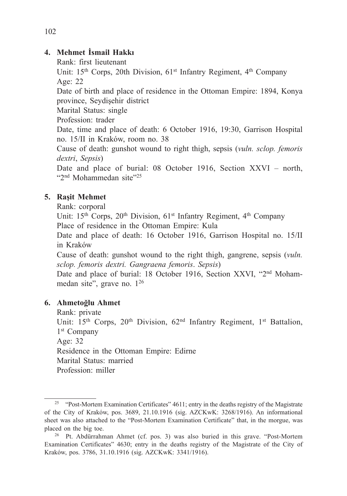## **4. Mehmet İsmail Hakkı**

Rank: first lieutenant

Unit: 15<sup>th</sup> Corps, 20th Division, 61<sup>st</sup> Infantry Regiment, 4<sup>th</sup> Company Age: 22

 Date of birth and place of residence in the Ottoman Empire: 1894, Konya province, Seydişehir district

Marital Status: single

Profession: trader

 Date, time and place of death: 6 October 1916, 19:30, Garrison Hospital no. 15/II in Kraków, room no. 38

 Cause of death: gunshot wound to right thigh, sepsis (*vuln. sclop. femoris dextri*, *Sepsis*)

Date and place of burial: 08 October 1916, Section XXVI – north, "2nd Mohammedan site"25

### **5. Raşit Mehmet**

Rank: corporal

Unit:  $15<sup>th</sup>$  Corps,  $20<sup>th</sup>$  Division,  $61<sup>st</sup>$  Infantry Regiment,  $4<sup>th</sup>$  Company Place of residence in the Ottoman Empire: Kula

 Date and place of death: 16 October 1916, Garrison Hospital no. 15/II in Kraków

 Cause of death: gunshot wound to the right thigh, gangrene, sepsis (*vuln. sclop. femoris dextri. Gangraena femoris*. *Sepsis*)

Date and place of burial: 18 October 1916, Section XXVI, "2<sup>nd</sup> Mohammedan site", grave no. 126

### **6. Ahmetoğlu Ahmet**

 Rank: private Unit: 15<sup>th</sup> Corps, 20<sup>th</sup> Division, 62<sup>nd</sup> Infantry Regiment, 1<sup>st</sup> Battalion, 1<sup>st</sup> Company Age: 32 Residence in the Ottoman Empire: Edirne Marital Status: married Profession: miller

<sup>&</sup>lt;sup>25</sup> "Post-Mortem Examination Certificates" 4611; entry in the deaths registry of the Magistrate of the City of Kraków, pos. 3689, 21.10.1916 (sig. AZCKwK: 3268/1916). An informational sheet was also attached to the "Post-Mortem Examination Certificate" that, in the morgue, was placed on the big toe.<br><sup>26</sup> Pt. Abdürrahman Ahmet (cf. pos. 3) was also buried in this grave. "Post-Mortem"

Examination Certificates" 4630; entry in the deaths registry of the Magistrate of the City of Kraków, pos. 3786, 31.10.1916 (sig. AZCKwK: 3341/1916).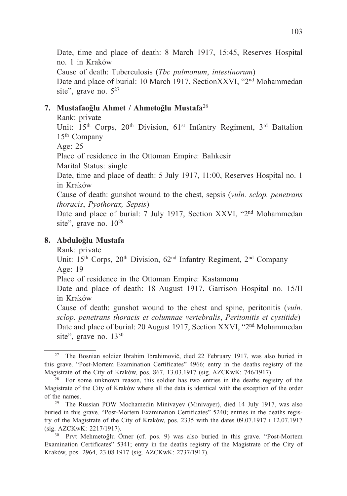Date, time and place of death: 8 March 1917, 15:45, Reserves Hospital no. 1 in Kraków Cause of death: Tuberculosis (*Tbc pulmonum*, *intestinorum*) Date and place of burial: 10 March 1917, SectionXXVI, "2<sup>nd</sup> Mohammedan site", grave no.  $5^{27}$ 

### **7. Mustafaoğlu Ahmet / Ahmetoğlu Mustafa**<sup>28</sup>

Rank: private

Unit: 15<sup>th</sup> Corps, 20<sup>th</sup> Division, 61<sup>st</sup> Infantry Regiment, 3<sup>rd</sup> Battalion 15th Company

Age: 25

Place of residence in the Ottoman Empire: Balıkesir

Marital Status: single

 Date, time and place of death: 5 July 1917, 11:00, Reserves Hospital no. 1 in Kraków

 Cause of death: gunshot wound to the chest, sepsis (*vuln. sclop. penetrans thoracis*, *Pyothorax, Sepsis*)

Date and place of burial: 7 July 1917, Section XXVI, "2<sup>nd</sup> Mohammedan site", grave no.  $10^{29}$ 

### **8. Abduloğlu Mustafa**

Rank: private

Unit:  $15<sup>th</sup>$  Corps,  $20<sup>th</sup>$  Division,  $62<sup>nd</sup>$  Infantry Regiment,  $2<sup>nd</sup>$  Company Age: 19

Place of residence in the Ottoman Empire: Kastamonu

 Date and place of death: 18 August 1917, Garrison Hospital no. 15/II in Kraków

 Cause of death: gunshot wound to the chest and spine, peritonitis (*vuln. sclop. penetrans thoracis et columnae vertebralis*, *Peritonitis et cystitide*) Date and place of burial: 20 August 1917, Section XXVI, "2<sup>nd</sup> Mohammedan site", grave no. 13<sup>30</sup>

<sup>27</sup> The Bosnian soldier Ibrahim Ibrahimovič, died 22 February 1917, was also buried in this grave. "Post-Mortem Examination Certificates" 4966; entry in the deaths registry of the Magistrate of the City of Kraków, pos. 867, 13.03.1917 (sig. AZCKwK: 746/1917).

<sup>&</sup>lt;sup>28</sup> For some unknown reason, this soldier has two entries in the deaths registry of the Magistrate of the City of Kraków where all the data is identical with the exception of the order of the names. 29 The Russian POW Mochamedin Minivayev (Minivayer), died 14 July 1917, was also

buried in this grave. "Post-Mortem Examination Certificates" 5240; entries in the deaths registry of the Magistrate of the City of Kraków, pos. 2335 with the dates 09.07.1917 i 12.07.1917 (sig. AZCKwK: 2217/1917).

<sup>30</sup> Prvt Mehmetoğlu Ömer (cf. pos. 9) was also buried in this grave. "Post-Mortem Examination Certificates" 5341; entry in the deaths registry of the Magistrate of the City of Kraków, pos. 2964, 23.08.1917 (sig. AZCKwK: 2737/1917).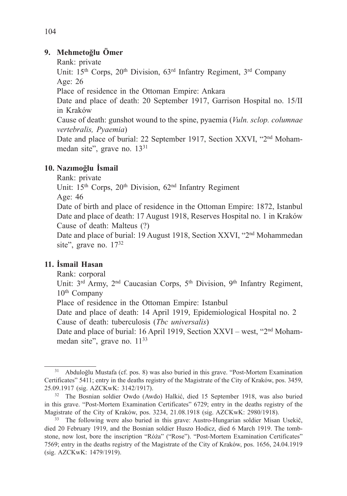### **9. Mehmetoğlu Ömer**

Rank: private

Unit: 15<sup>th</sup> Corps, 20<sup>th</sup> Division, 63<sup>rd</sup> Infantry Regiment, 3<sup>rd</sup> Company Age: 26

Place of residence in the Ottoman Empire: Ankara

 Date and place of death: 20 September 1917, Garrison Hospital no. 15/II in Kraków

 Cause of death: gunshot wound to the spine, pyaemia (*Vuln. sclop. columnae vertebralis, Pyaemia*)

Date and place of burial: 22 September 1917, Section XXVI, "2<sup>nd</sup> Mohammedan site", grave no. 13<sup>31</sup>

# **10. Nazımoğlu İsmail**

Rank: private

Unit:  $15<sup>th</sup>$  Corps,  $20<sup>th</sup>$  Division,  $62<sup>nd</sup>$  Infantry Regiment

Age: 46

 Date of birth and place of residence in the Ottoman Empire: 1872, Istanbul Date and place of death: 17 August 1918, Reserves Hospital no. 1 in Kraków Cause of death: Malteus (?)

Date and place of burial: 19 August 1918, Section XXVI, "2<sup>nd</sup> Mohammedan site", grave no. 17<sup>32</sup>

# **11. İsmail Hasan**

Rank: corporal

Unit: 3<sup>rd</sup> Army, 2<sup>nd</sup> Caucasian Corps, 5<sup>th</sup> Division, 9<sup>th</sup> Infantry Regiment, 10th Company

Place of residence in the Ottoman Empire: Istanbul

 Date and place of death: 14 April 1919, Epidemiological Hospital no. 2 Cause of death: tuberculosis (*Tbc universalis*)

Date and place of burial: 16 April 1919, Section XXVI – west, "2<sup>nd</sup> Mohammedan site", grave no. 11<sup>33</sup>

<sup>31</sup> Abduloğlu Mustafa (cf. pos. 8) was also buried in this grave. "Post-Mortem Examination Certificates" 5411; entry in the deaths registry of the Magistrate of the City of Kraków, pos. 3459, 25.09.1917 (sig. AZCKwK: 3142/1917).

<sup>32</sup> The Bosnian soldier Owdo (Awdo) Halkić, died 15 September 1918, was also buried in this grave. "Post-Mortem Examination Certificates" 6729; entry in the deaths registry of the Magistrate of the City of Kraków, pos. 3234, 21.08.1918 (sig. AZCKwK: 2980/1918).

<sup>&</sup>lt;sup>33</sup> The following were also buried in this grave: Austro-Hungarian soldier Misan Usekič, died 20 February 1919, and the Bosnian soldier Huszo Hodicz, died 6 March 1919. The tombstone, now lost, bore the inscription "Róża" ("Rose"). "Post-Mortem Examination Certificates" 7569; entry in the deaths registry of the Magistrate of the City of Kraków, pos. 1656, 24.04.1919 (sig. AZCKwK: 1479/1919).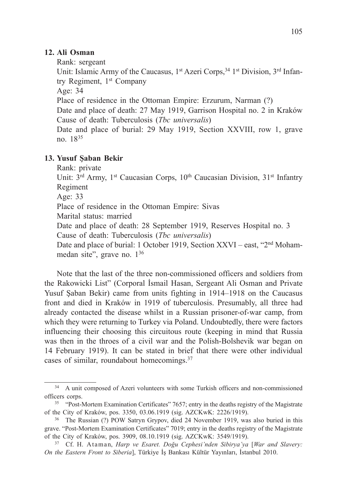### **12. Ali Osman**

Rank: sergeant

Unit: Islamic Army of the Caucasus, 1<sup>st</sup> Azeri Corps,<sup>34</sup> 1<sup>st</sup> Division, 3<sup>rd</sup> Infantry Regiment, 1st Company

Age: 34

Place of residence in the Ottoman Empire: Erzurum, Narman (?)

 Date and place of death: 27 May 1919, Garrison Hospital no. 2 in Kraków Cause of death: Tuberculosis (*Tbc universalis*)

 Date and place of burial: 29 May 1919, Section XXVIII, row 1, grave no. 1835

### **13. Yusuf Şaban Bekir**

Rank: private

Unit: 3<sup>rd</sup> Army, 1<sup>st</sup> Caucasian Corps, 10<sup>th</sup> Caucasian Division, 31<sup>st</sup> Infantry Regiment

Age: 33

Place of residence in the Ottoman Empire: Sivas

Marital status: married

 Date and place of death: 28 September 1919, Reserves Hospital no. 3 Cause of death: Tuberculosis (*Tbc universalis*)

Date and place of burial: 1 October 1919, Section XXVI – east, "2<sup>nd</sup> Mohammedan site", grave no. 136

Note that the last of the three non-commissioned officers and soldiers from the Rakowicki List" (Corporal İsmail Hasan, Sergeant Ali Osman and Private Yusuf Şaban Bekir) came from units fighting in 1914–1918 on the Caucasus front and died in Kraków in 1919 of tuberculosis. Presumably, all three had already contacted the disease whilst in a Russian prisoner-of-war camp, from which they were returning to Turkey via Poland. Undoubtedly, there were factors influencing their choosing this circuitous route (keeping in mind that Russia was then in the throes of a civil war and the Polish-Bolshevik war began on 14 February 1919). It can be stated in brief that there were other individual cases of similar, roundabout homecomings.37

<sup>&</sup>lt;sup>34</sup> A unit composed of Azeri volunteers with some Turkish officers and non-commissioned officers corps. 35 "Post-Mortem Examination Certificates" 7657; entry in the deaths registry of the Magistrate

of the City of Kraków, pos. 3350, 03.06.1919 (sig . AZCKwK: 2226/1919).

<sup>36</sup> The Russian (?) POW Satryn Grypov, died 24 November 1919, was also buried in this grave. "Post-Mortem Examination Certificates" 7019; entry in the deaths registry of the Magistrate of the City of Kraków, pos. 3909, 08.10.1919 (sig. AZCKwK: 3549/1919).

<sup>37</sup> Cf. H. Ataman, *Harp ve Esaret. Doğu Cephesi'nden Sibirya'ya* [*War and Slavery: On the Eastern Front to Siberia*], Türkiye İş Bankası Kültür Yayınları, İstanbul 2010.